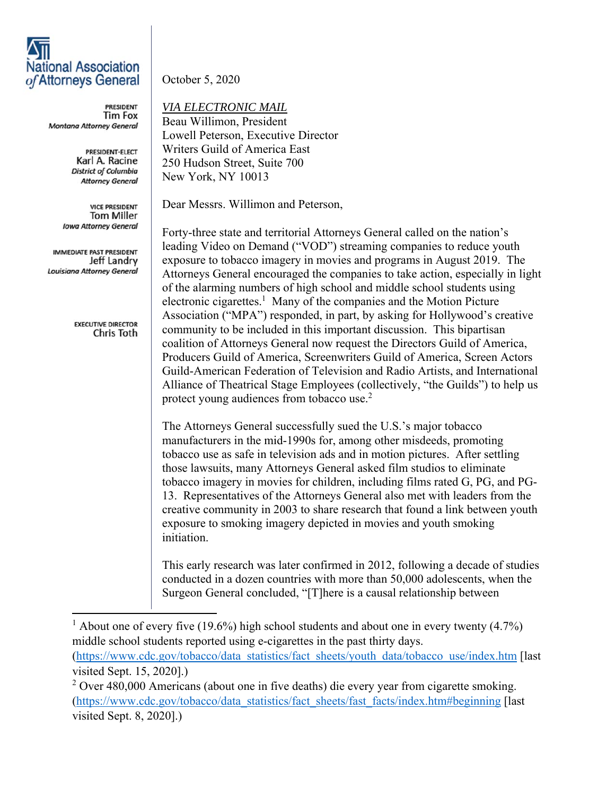## **National Association** of Attorneys General

**PRESIDENT Tim Fox** Montana Attorney General

> PRESIDENT-ELECT Karl A. Racine **District of Columbia Attorney General**

**VICE PRESIDENT Tom Miller Iowa Attorney General** 

IMMEDIATE PAST PRESIDENT Jeff Landry Louisiana Attorney General

> **EXECUTIVE DIRECTOR** Chris Toth

October 5, 2020

*VIA ELECTRONIC MAIL* 

Beau Willimon, President Lowell Peterson, Executive Director Writers Guild of America East 250 Hudson Street, Suite 700 New York, NY 10013

Dear Messrs. Willimon and Peterson,

Forty-three state and territorial Attorneys General called on the nation's leading Video on Demand ("VOD") streaming companies to reduce youth exposure to tobacco imagery in movies and programs in August 2019. The Attorneys General encouraged the companies to take action, especially in light of the alarming numbers of high school and middle school students using electronic cigarettes.<sup>1</sup> Many of the companies and the Motion Picture Association ("MPA") responded, in part, by asking for Hollywood's creative community to be included in this important discussion. This bipartisan coalition of Attorneys General now request the Directors Guild of America, Producers Guild of America, Screenwriters Guild of America, Screen Actors Guild-American Federation of Television and Radio Artists, and International Alliance of Theatrical Stage Employees (collectively, "the Guilds") to help us protect young audiences from tobacco use.<sup>2</sup>

The Attorneys General successfully sued the U.S.'s major tobacco manufacturers in the mid-1990s for, among other misdeeds, promoting tobacco use as safe in television ads and in motion pictures. After settling those lawsuits, many Attorneys General asked film studios to eliminate tobacco imagery in movies for children, including films rated G, PG, and PG-13. Representatives of the Attorneys General also met with leaders from the creative community in 2003 to share research that found a link between youth exposure to smoking imagery depicted in movies and youth smoking initiation.

This early research was later confirmed in 2012, following a decade of studies conducted in a dozen countries with more than 50,000 adolescents, when the Surgeon General concluded, "[T]here is a causal relationship between

<sup>1</sup> About one of every five (19.6%) high school students and about one in every twenty (4.7%) middle school students reported using e-cigarettes in the past thirty days. (https://www.cdc.gov/tobacco/data\_statistics/fact\_sheets/youth\_data/tobacco\_use/index.htm [last visited Sept. 15, 2020].)

 $2$  Over 480,000 Americans (about one in five deaths) die every year from cigarette smoking. (https://www.cdc.gov/tobacco/data\_statistics/fact\_sheets/fast\_facts/index.htm#beginning [last visited Sept. 8, 2020].)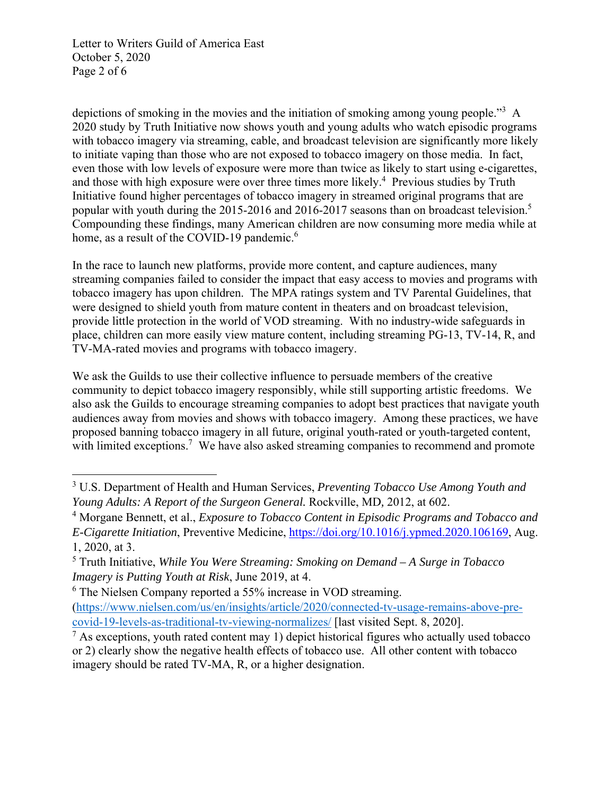Letter to Writers Guild of America East October 5, 2020 Page 2 of 6

depictions of smoking in the movies and the initiation of smoking among young people."<sup>3</sup> A 2020 study by Truth Initiative now shows youth and young adults who watch episodic programs with tobacco imagery via streaming, cable, and broadcast television are significantly more likely to initiate vaping than those who are not exposed to tobacco imagery on those media. In fact, even those with low levels of exposure were more than twice as likely to start using e-cigarettes, and those with high exposure were over three times more likely.<sup>4</sup> Previous studies by Truth Initiative found higher percentages of tobacco imagery in streamed original programs that are popular with youth during the 2015-2016 and 2016-2017 seasons than on broadcast television.<sup>5</sup> Compounding these findings, many American children are now consuming more media while at home, as a result of the COVID-19 pandemic.<sup>6</sup>

In the race to launch new platforms, provide more content, and capture audiences, many streaming companies failed to consider the impact that easy access to movies and programs with tobacco imagery has upon children. The MPA ratings system and TV Parental Guidelines, that were designed to shield youth from mature content in theaters and on broadcast television, provide little protection in the world of VOD streaming. With no industry-wide safeguards in place, children can more easily view mature content, including streaming PG-13, TV-14, R, and TV-MA-rated movies and programs with tobacco imagery.

We ask the Guilds to use their collective influence to persuade members of the creative community to depict tobacco imagery responsibly, while still supporting artistic freedoms. We also ask the Guilds to encourage streaming companies to adopt best practices that navigate youth audiences away from movies and shows with tobacco imagery. Among these practices, we have proposed banning tobacco imagery in all future, original youth-rated or youth-targeted content, with limited exceptions.<sup>7</sup> We have also asked streaming companies to recommend and promote

<sup>3</sup> U.S. Department of Health and Human Services, *Preventing Tobacco Use Among Youth and Young Adults: A Report of the Surgeon General.* Rockville, MD*,* 2012, at 602.

<sup>&</sup>lt;sup>4</sup> Morgane Bennett, et al., *Exposure to Tobacco Content in Episodic Programs and Tobacco and E-Cigarette Initiation*, Preventive Medicine, https://doi.org/10.1016/j.ypmed.2020.106169, Aug. 1, 2020, at 3.

<sup>5</sup> Truth Initiative, *While You Were Streaming: Smoking on Demand – A Surge in Tobacco Imagery is Putting Youth at Risk*, June 2019, at 4.

<sup>&</sup>lt;sup>6</sup> The Nielsen Company reported a 55% increase in VOD streaming.

<sup>(</sup>https://www.nielsen.com/us/en/insights/article/2020/connected-tv-usage-remains-above-precovid-19-levels-as-traditional-tv-viewing-normalizes/ [last visited Sept. 8, 2020].

 $<sup>7</sup>$  As exceptions, youth rated content may 1) depict historical figures who actually used tobacco</sup> or 2) clearly show the negative health effects of tobacco use. All other content with tobacco imagery should be rated TV-MA, R, or a higher designation.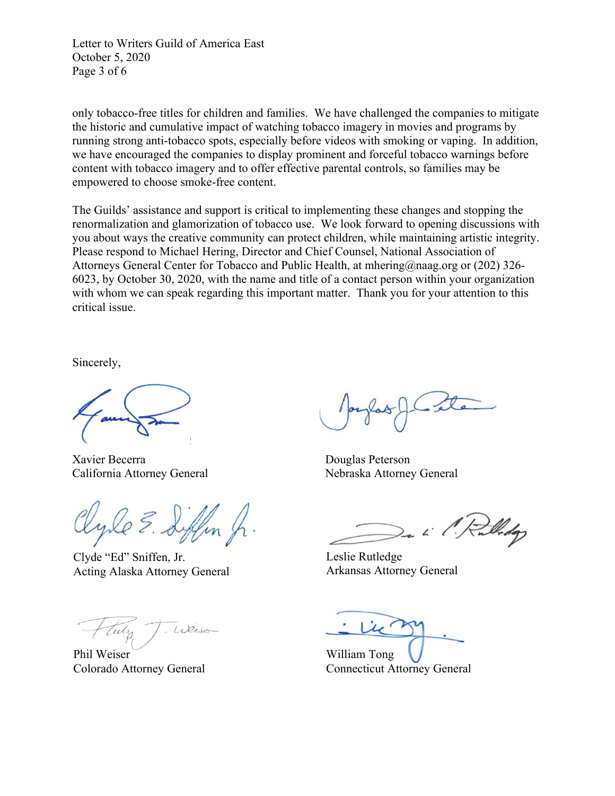Letter to Writers Guild of America East October 5, 2020 Page 3 of 6

only tobacco-free titles for children and families. We have challenged the companies to mitigate the historic and cumulative impact of watching tobacco imagery in movies and programs by running strong anti-tobacco spots, especially before videos with smoking or vaping. In addition, we have encouraged the companies to display prominent and forceful tobacco warnings before content with tobacco imagery and to offer effective parental controls, so families may be empowered to choose smoke-free content.

The Guilds' assistance and support is critical to implementing these changes and stopping the renormalization and glamorization of tobacco use. We look forward to opening discussions with you about ways the creative community can protect children, while maintaining artistic integrity. Please respond to Michael Hering, Director and Chief Counsel, National Association of Attorneys General Center for Tobacco and Public Health, at mhering@naag.org or (202) 326- 6023, by October 30, 2020, with the name and title of a contact person within your organization with whom we can speak regarding this important matter. Thank you for your attention to this critical issue.

Sincerely,

Xavier Becerra Douglas Peterson California Attorney General Nebraska Attorney General

Clyde "Ed" Sniffen, Jr. Acting Alaska Attorney General

Weise

Phil Weiser Colorado Attorney General

Widop

Leslie Rutledge Arkansas Attorney General

William Tong Connecticut Attorney General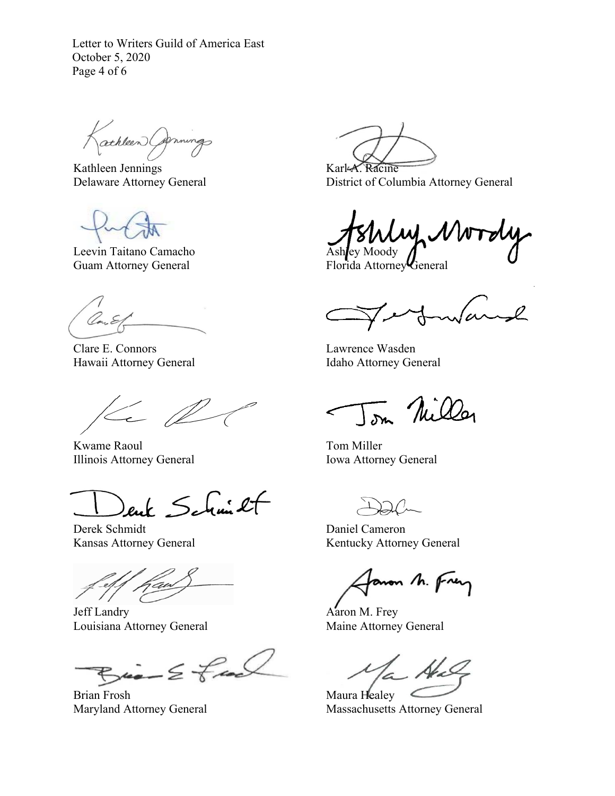Letter to Writers Guild of America East October 5, 2020 Page 4 of 6

athleen Carnings

Kathleen Jennings Delaware Attorney General

Leevin Taitano Camacho Guam Attorney General

Clare E. Connors Hawaii Attorney General

 $\leftarrow$ 

Kwame Raoul Illinois Attorney General

ent Schmit

Derek Schmidt Kansas Attorney General

j

Jeff Landry Louisiana Attorney General

 $Bia - E$  feel

Brian Frosh Maryland Attorney General

Karl-A. Racine District of Columbia Attorney General

いしい Ashley Moody

Florida Attorney General

 $\sqrt{\alpha}$  $\sim$ l

Lawrence Wasden Idaho Attorney General

Tom Nilley

Tom Miller Iowa Attorney General

Daniel Cameron Kentucky Attorney General

aron M. Frey

Aaron M. Frey Maine Attorney General

Maura Healey Massachusetts Attorney General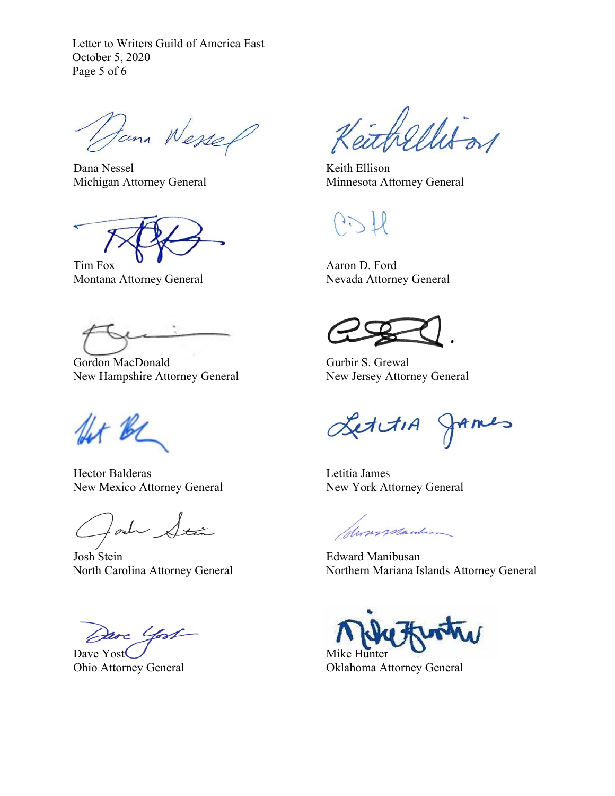Letter to Writers Guild of America East October 5, 2020 Page 5 of 6

Dana Wessel

Dana Nessel Michigan Attorney General

Tim Fox Montana Attorney General

Gordon MacDonald New Hampshire Attorney General

for be

Hector Balderas New Mexico Attorney General

lad Stán

Josh Stein North Carolina Attorney General

Jave Yost

Dave Yost Ohio Attorney General

ahellitos

Keith Ellison Minnesota Attorney General

 $\frac{1}{2}$ 

Aaron D. Ford Nevada Attorney General

Gurbir S. Grewal New Jersey Attorney General

LettiA JAmes

Letitia James New York Attorney General

Suns Manber

Edward Manibusan Northern Mariana Islands Attorney General

Mike Hunter

Oklahoma Attorney General